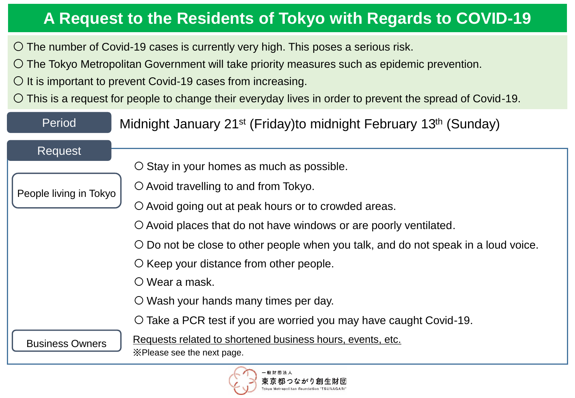#### **A Request to the Residents of Tokyo with Regards to COVID-19**

○ The number of Covid-19 cases is currently very high. This poses a serious risk.

○ The Tokyo Metropolitan Government will take priority measures such as epidemic prevention.

 $\bigcirc$  It is important to prevent Covid-19 cases from increasing.

○ This is a request for people to change their everyday lives in order to prevent the spread of Covid-19.

| Period                 | Midnight January 21 <sup>st</sup> (Friday)to midnight February 13 <sup>th</sup> (Sunday)  |
|------------------------|-------------------------------------------------------------------------------------------|
| Request                |                                                                                           |
|                        | O Stay in your homes as much as possible.                                                 |
| People living in Tokyo | $\circ$ Avoid travelling to and from Tokyo.                                               |
|                        | O Avoid going out at peak hours or to crowded areas.                                      |
|                        | O Avoid places that do not have windows or are poorly ventilated.                         |
|                        | O Do not be close to other people when you talk, and do not speak in a loud voice.        |
|                        | $\circ$ Keep your distance from other people.                                             |
|                        | $\circ$ Wear a mask.                                                                      |
|                        | O Wash your hands many times per day.                                                     |
|                        | O Take a PCR test if you are worried you may have caught Covid-19.                        |
| <b>Business Owners</b> | Requests related to shortened business hours, events, etc.<br>X Please see the next page. |
|                        |                                                                                           |

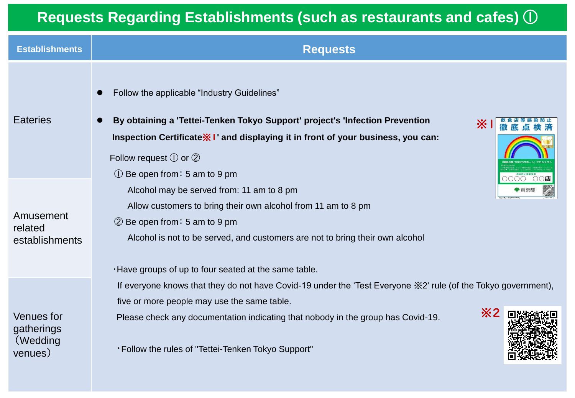#### **Requests Regarding Establishments (such as restaurants and cafes)** ①

| <b>Establishments</b>                                  | <b>Requests</b>                                                                                                                                                                                                                                                                                                                          |
|--------------------------------------------------------|------------------------------------------------------------------------------------------------------------------------------------------------------------------------------------------------------------------------------------------------------------------------------------------------------------------------------------------|
| <b>Eateries</b>                                        | Follow the applicable "Industry Guidelines"<br>By obtaining a 'Tettei-Tenken Tokyo Support' project's 'Infection Prevention<br>፠<br>Inspection Certificate * I' and displaying it in front of your business, you can:<br>Follow request $\mathbb O$ or $\mathbb Q$<br>$\odot$ Be open from: 5 am to 9 pm                                 |
| Amusement<br>related<br>establishments                 | Alcohol may be served from: 11 am to 8 pm<br>Allow customers to bring their own alcohol from 11 am to 8 pm<br>2 Be open from: 5 am to 9 pm<br>Alcohol is not to be served, and customers are not to bring their own alcohol<br>. Have groups of up to four seated at the same table.                                                     |
| <b>Venues</b> for<br>gatherings<br>(Wedding<br>venues) | If everyone knows that they do not have Covid-19 under the 'Test Everyone $\frac{1}{2}$ ' rule (of the Tokyo government),<br>five or more people may use the same table.<br>$\divideontimes$ 2<br>Please check any documentation indicating that nobody in the group has Covid-19.<br>*Follow the rules of "Tettei-Tenken Tokyo Support" |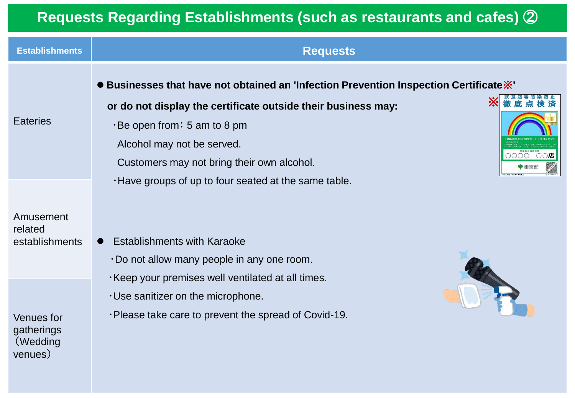## **Requests Regarding Establishments (such as restaurants and cafes)** ②

| <b>Establishments</b>                                  | <b>Requests</b>                                                                                                                                                                                                                                                              |
|--------------------------------------------------------|------------------------------------------------------------------------------------------------------------------------------------------------------------------------------------------------------------------------------------------------------------------------------|
| <b>Eateries</b>                                        | ● Businesses that have not obtained an 'Infection Prevention Inspection Certificate※'<br>፠<br>or do not display the certificate outside their business may:<br>·Be open from: 5 am to 8 pm<br>Alcohol may not be served.<br>○店<br>Customers may not bring their own alcohol. |
| Amusement<br>related<br>establishments                 | . Have groups of up to four seated at the same table.<br><b>Establishments with Karaoke</b><br>Do not allow many people in any one room.                                                                                                                                     |
| <b>Venues</b> for<br>gatherings<br>(Wedding<br>venues) | Keep your premises well ventilated at all times.<br>$\cdot$ Use sanitizer on the microphone.<br>. Please take care to prevent the spread of Covid-19.                                                                                                                        |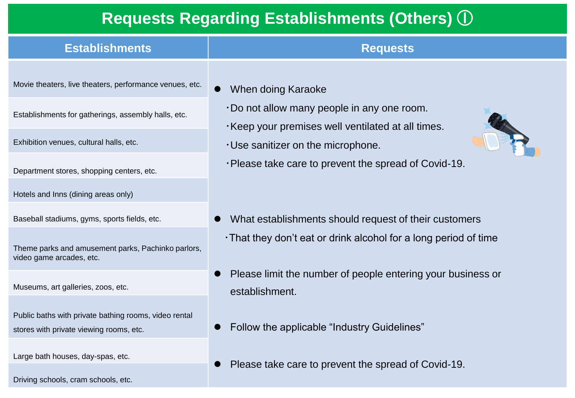#### **Requests Regarding Establishments (Others)** ①

| <b>Establishments</b>                                   | <b>Requests</b>                                                                                         |  |
|---------------------------------------------------------|---------------------------------------------------------------------------------------------------------|--|
| Movie theaters, live theaters, performance venues, etc. | When doing Karaoke<br>$\bullet$                                                                         |  |
| Establishments for gatherings, assembly halls, etc.     | $\cdot$ Do not allow many people in any one room.<br>. Keep your premises well ventilated at all times. |  |
| Exhibition venues, cultural halls, etc.                 | $\cdot$ Use sanitizer on the microphone.                                                                |  |
| Department stores, shopping centers, etc.               | ·Please take care to prevent the spread of Covid-19.                                                    |  |
| Hotels and Inns (dining areas only)                     |                                                                                                         |  |
| Baseball stadiums, gyms, sports fields, etc.            | What establishments should request of their customers                                                   |  |

Theme parks and amusement parks, Pachinko parlors, video game arcades, etc.

Museums, art galleries, zoos, etc.

Public baths with private bathing rooms, video rental stores with private viewing rooms, etc.

Large bath houses, day-spas, etc.

Driving schools, cram schools, etc.

⚫ Please limit the number of people entering your business or

・That they don't eat or drink alcohol for a long period of time

- establishment.
- ⚫ Follow the applicable "Industry Guidelines"
- ⚫ Please take care to prevent the spread of Covid-19.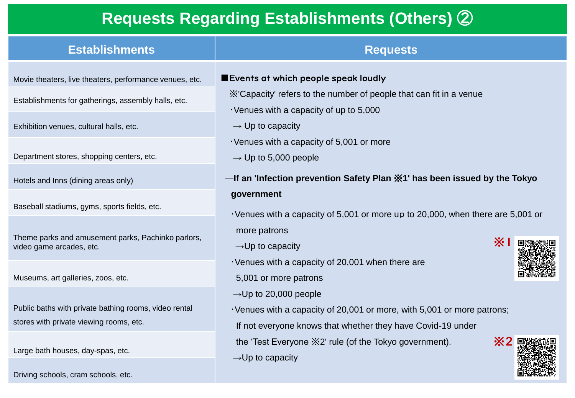### **Requests Regarding Establishments (Others)** ②

| <b>Establishments</b>                                                                                                                                     | <b>Requests</b>                                                                                                                                                                                      |  |
|-----------------------------------------------------------------------------------------------------------------------------------------------------------|------------------------------------------------------------------------------------------------------------------------------------------------------------------------------------------------------|--|
| Movie theaters, live theaters, performance venues, etc.<br>Establishments for gatherings, assembly halls, etc.<br>Exhibition venues, cultural halls, etc. | Events at which people speak loudly<br>X'Capacity' refers to the number of people that can fit in a venue<br>$\cdot$ Venues with a capacity of up to 5,000<br>$\rightarrow$ Up to capacity           |  |
| Department stores, shopping centers, etc.                                                                                                                 | Venues with a capacity of 5,001 or more<br>$\rightarrow$ Up to 5,000 people<br>—If an 'Infection prevention Safety Plan ※1' has been issued by the Tokyo                                             |  |
| Hotels and Inns (dining areas only)<br>Baseball stadiums, gyms, sports fields, etc.                                                                       | government<br>· Venues with a capacity of 5,001 or more up to 20,000, when there are 5,001 or                                                                                                        |  |
| Theme parks and amusement parks, Pachinko parlors,<br>video game arcades, etc.                                                                            | more patrons<br>$\mathbb{X}$<br>$\rightarrow$ Up to capacity<br>$\cdot$ Venues with a capacity of 20,001 when there are                                                                              |  |
| Museums, art galleries, zoos, etc.<br>Public baths with private bathing rooms, video rental<br>stores with private viewing rooms, etc.                    | 5,001 or more patrons<br>$\rightarrow$ Up to 20,000 people<br>· Venues with a capacity of 20,001 or more, with 5,001 or more patrons;<br>If not everyone knows that whether they have Covid-19 under |  |

 $\rightarrow$ Up to capacity

the 'Test Everyone ※2' rule (of the Tokyo government).

Large bath houses, day-spas, etc.

Driving schools, cram schools, etc.

# ※2